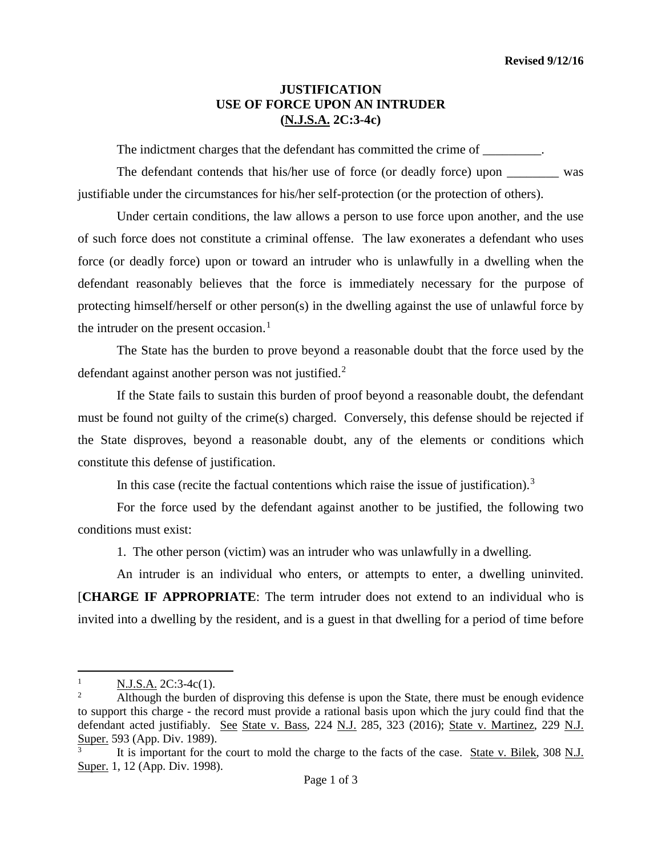## **JUSTIFICATION USE OF FORCE UPON AN INTRUDER (N.J.S.A. 2C:3-4c)**

The indictment charges that the defendant has committed the crime of  $\blacksquare$ .

The defendant contends that his/her use of force (or deadly force) upon \_\_\_\_\_\_\_\_ was justifiable under the circumstances for his/her self-protection (or the protection of others).

Under certain conditions, the law allows a person to use force upon another, and the use of such force does not constitute a criminal offense. The law exonerates a defendant who uses force (or deadly force) upon or toward an intruder who is unlawfully in a dwelling when the defendant reasonably believes that the force is immediately necessary for the purpose of protecting himself/herself or other person(s) in the dwelling against the use of unlawful force by the intruder on the present occasion. $<sup>1</sup>$  $<sup>1</sup>$  $<sup>1</sup>$ </sup>

The State has the burden to prove beyond a reasonable doubt that the force used by the defendant against another person was not justified.<sup>[2](#page-0-1)</sup>

If the State fails to sustain this burden of proof beyond a reasonable doubt, the defendant must be found not guilty of the crime(s) charged. Conversely, this defense should be rejected if the State disproves, beyond a reasonable doubt, any of the elements or conditions which constitute this defense of justification.

In this case (recite the factual contentions which raise the issue of justification).<sup>[3](#page-0-2)</sup>

For the force used by the defendant against another to be justified, the following two conditions must exist:

1. The other person (victim) was an intruder who was unlawfully in a dwelling.

An intruder is an individual who enters, or attempts to enter, a dwelling uninvited. [**CHARGE IF APPROPRIATE**: The term intruder does not extend to an individual who is invited into a dwelling by the resident, and is a guest in that dwelling for a period of time before

<span id="page-0-0"></span> $\frac{1}{1}$  $\frac{N.J.S.A.}{\Delta}$  2C:3-4c(1).

<span id="page-0-1"></span><sup>2</sup> Although the burden of disproving this defense is upon the State, there must be enough evidence to support this charge - the record must provide a rational basis upon which the jury could find that the defendant acted justifiably. See State v. Bass, 224 N.J. 285, 323 (2016); State v. Martinez, 229 N.J. Super. 593 (App. Div. 1989).

<span id="page-0-2"></span><sup>3</sup> It is important for the court to mold the charge to the facts of the case. State v. Bilek, 308 N.J. Super. 1, 12 (App. Div. 1998).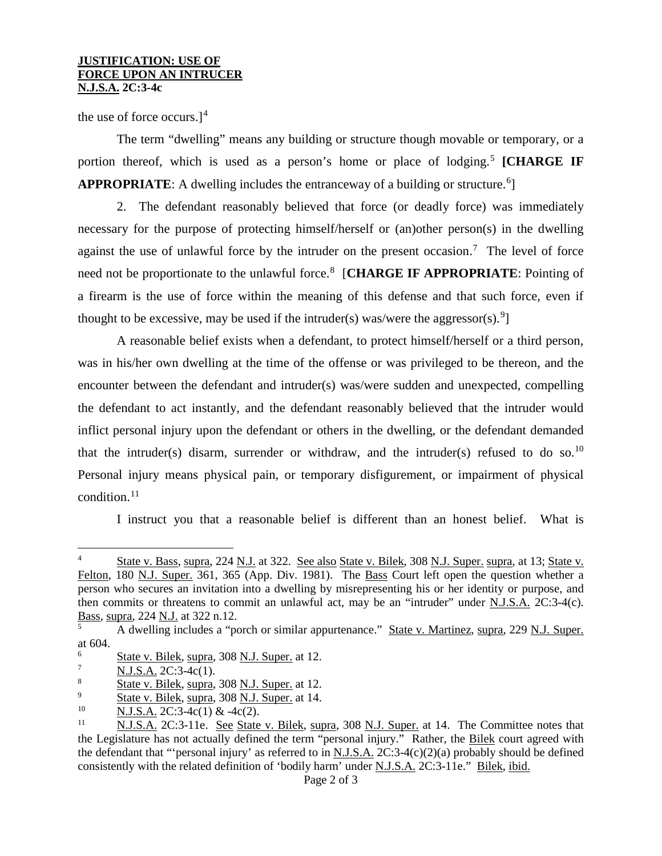## **JUSTIFICATION: USE OF FORCE UPON AN INTRUCER N.J.S.A. 2C:3-4c**

the use of force occurs.]<sup>[4](#page-1-0)</sup>

The term "dwelling" means any building or structure though movable or temporary, or a portion thereof, which is used as a person's home or place of lodging.<sup>[5](#page-1-1)</sup> [CHARGE IF APPROPRIATE: A dwelling includes the entranceway of a building or structure.<sup>[6](#page-1-2)</sup>]

2. The defendant reasonably believed that force (or deadly force) was immediately necessary for the purpose of protecting himself/herself or (an)other person(s) in the dwelling against the use of unlawful force by the intruder on the present occasion.<sup>[7](#page-1-3)</sup> The level of force need not be proportionate to the unlawful force.<sup>[8](#page-1-4)</sup> [CHARGE IF APPROPRIATE: Pointing of a firearm is the use of force within the meaning of this defense and that such force, even if thought to be excessive, may be used if the intruder(s) was/were the aggressor(s).<sup>[9](#page-1-5)</sup>]

A reasonable belief exists when a defendant, to protect himself/herself or a third person, was in his/her own dwelling at the time of the offense or was privileged to be thereon, and the encounter between the defendant and intruder(s) was/were sudden and unexpected, compelling the defendant to act instantly, and the defendant reasonably believed that the intruder would inflict personal injury upon the defendant or others in the dwelling, or the defendant demanded that the intruder(s) disarm, surrender or withdraw, and the intruder(s) refused to do so.<sup>[10](#page-1-6)</sup> Personal injury means physical pain, or temporary disfigurement, or impairment of physical condition.<sup>[11](#page-1-7)</sup>

I instruct you that a reasonable belief is different than an honest belief. What is

<span id="page-1-0"></span> <sup>4</sup> State v. Bass, supra, 224 N.J. at 322. See also State v. Bilek, 308 N.J. Super. supra, at 13; State v. Felton, 180 N.J. Super. 361, 365 (App. Div. 1981). The Bass Court left open the question whether a person who secures an invitation into a dwelling by misrepresenting his or her identity or purpose, and then commits or threatens to commit an unlawful act, may be an "intruder" under N.J.S.A. 2C:3-4(c). Bass, supra, 224 N.J. at 322 n.12.

<span id="page-1-1"></span><sup>5</sup> A dwelling includes a "porch or similar appurtenance." State v. Martinez, supra, 229 N.J. Super. at 604.

<span id="page-1-2"></span> $\frac{6}{7}$  State v. Bilek, supra, 308 <u>N.J. Super.</u> at 12.

<span id="page-1-3"></span> $\frac{7}{8}$  N.J.S.A. 2C:3-4c(1).

<span id="page-1-4"></span> $\frac{8}{9}$  State v. Bilek, supra, 308 N.J. Super. at 12.

<span id="page-1-5"></span> $\frac{9}{10}$  State v. Bilek, supra, 308 N.J. Super. at 14.

<span id="page-1-6"></span> $\frac{10}{11}$  N.J.S.A. 2C:3-4c(1) & -4c(2).

<span id="page-1-7"></span>N.J.S.A. 2C:3-11e. See State v. Bilek, supra, 308 N.J. Super. at 14. The Committee notes that the Legislature has not actually defined the term "personal injury." Rather, the Bilek court agreed with the defendant that "'personal injury' as referred to in N.J.S.A.  $2C:3-4(c)(2)(a)$  probably should be defined consistently with the related definition of 'bodily harm' under N.J.S.A. 2C:3-11e." Bilek, ibid.